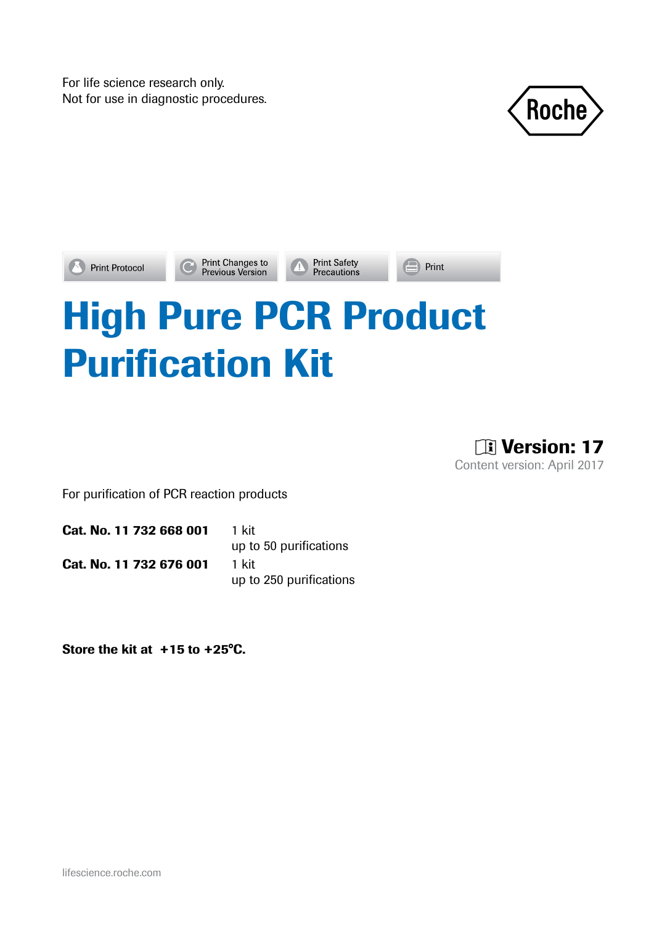For life science research only.





Print Changes to<br>Previous Version

**Print Safety**<br>**Precautions** 

 $\blacksquare$  Print

# High Pure PCR Product Purification Kit

**Til Version: 17** Content version: April 2017

For purification of PCR reaction products

Cat. No. 11 732 668 001 1 kit up to 50 purifications

Cat. No. 11 732 676 001 1 kit

up to 250 purifications

Store the kit at +15 to +25°C.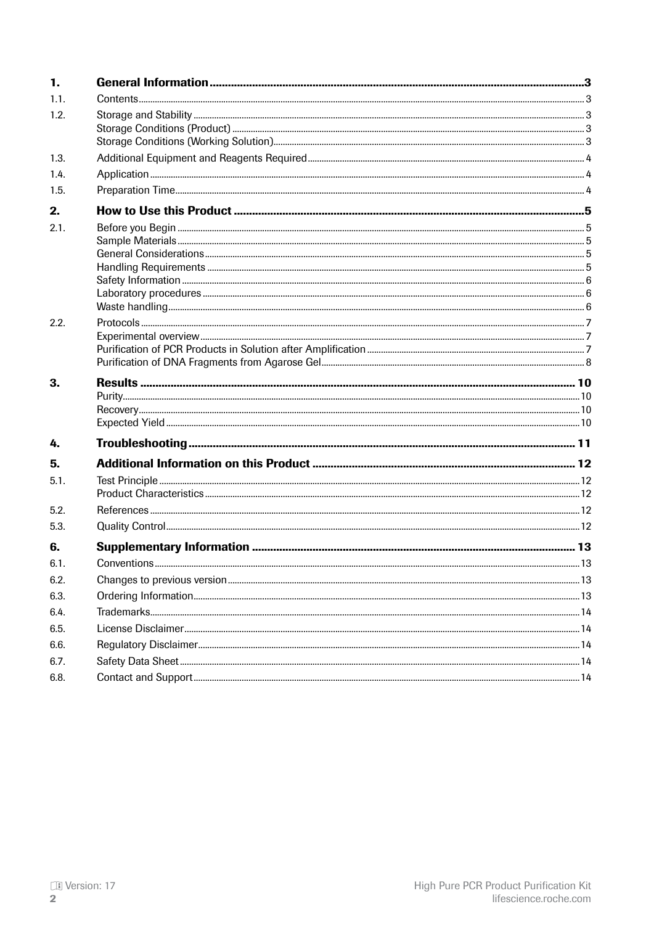| 1.   |  |
|------|--|
| 1.1. |  |
| 1.2. |  |
|      |  |
|      |  |
| 1.3. |  |
| 1.4. |  |
| 1.5. |  |
| 2.   |  |
| 2.1. |  |
|      |  |
|      |  |
|      |  |
|      |  |
|      |  |
| 2.2. |  |
|      |  |
|      |  |
|      |  |
| 3.   |  |
|      |  |
|      |  |
| 4.   |  |
| 5.   |  |
| 5.1. |  |
|      |  |
| 5.2. |  |
| 5.3. |  |
| 6.   |  |
| 6.1. |  |
| 6.2. |  |
| 6.3. |  |
| 6.4. |  |
| 6.5. |  |
| 6.6. |  |
| 6.7. |  |
| 6.8. |  |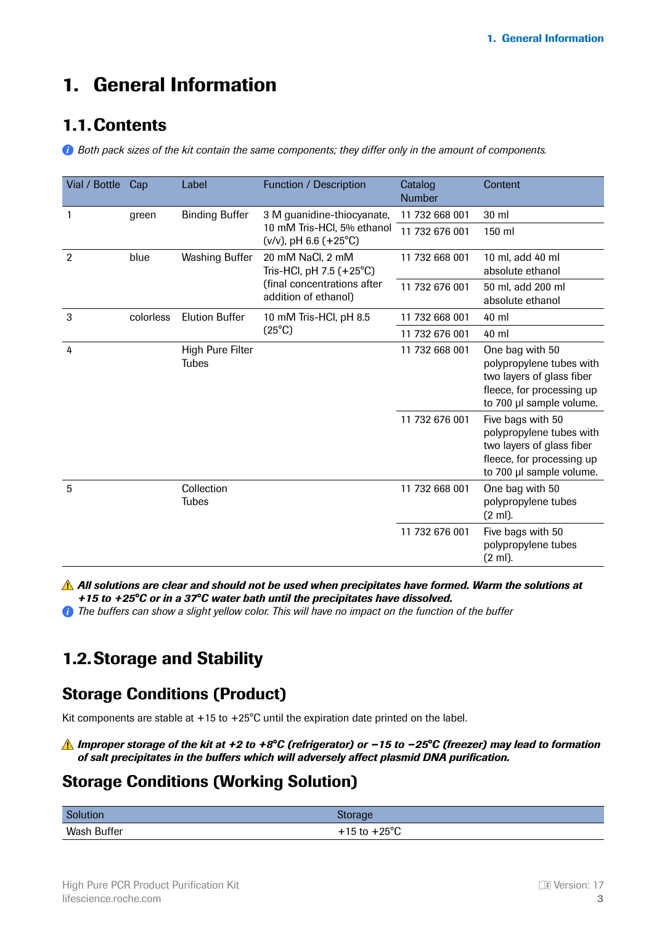# <span id="page-2-0"></span>1. General Information

### 1.1.Contents

*Both pack sizes of the kit contain the same components; they differ only in the amount of components.*

| Vial / Bottle  | Cap       | Label                            | Function / Description                                                                              | Catalog<br><b>Number</b> | Content                                                                                                                             |
|----------------|-----------|----------------------------------|-----------------------------------------------------------------------------------------------------|--------------------------|-------------------------------------------------------------------------------------------------------------------------------------|
|                | green     | <b>Binding Buffer</b>            | 3 M guanidine-thiocyanate,                                                                          | 11 732 668 001           | 30 ml                                                                                                                               |
|                |           |                                  | 10 mM Tris-HCl, 5% ethanol<br>$(v/v)$ , pH 6.6 $(+25°C)$                                            | 11 732 676 001           | 150 ml                                                                                                                              |
| $\overline{2}$ | blue      | <b>Washing Buffer</b>            | 20 mM NaCl, 2 mM<br>Tris-HCl, pH 7.5 (+25°C)<br>(final concentrations after<br>addition of ethanol) | 11 732 668 001           | 10 ml, add 40 ml<br>absolute ethanol                                                                                                |
|                |           |                                  |                                                                                                     | 11 732 676 001           | 50 ml, add 200 ml<br>absolute ethanol                                                                                               |
| 3              | colorless | <b>Elution Buffer</b>            | 10 mM Tris-HCl, pH 8.5                                                                              | 11 732 668 001           | 40 ml                                                                                                                               |
|                |           |                                  | $(25^{\circ}C)$                                                                                     | 11 732 676 001           | 40 ml                                                                                                                               |
| 4              |           | High Pure Filter<br><b>Tubes</b> |                                                                                                     | 11 732 668 001           | One bag with 50<br>polypropylene tubes with<br>two layers of glass fiber<br>fleece, for processing up<br>to 700 µl sample volume.   |
|                |           |                                  |                                                                                                     | 11 732 676 001           | Five bags with 50<br>polypropylene tubes with<br>two layers of glass fiber<br>fleece, for processing up<br>to 700 µl sample volume. |
| 5              |           | Collection<br>Tubes              |                                                                                                     | 11 732 668 001           | One bag with 50<br>polypropylene tubes<br>$(2 \text{ ml})$ .                                                                        |
|                |           |                                  |                                                                                                     | 11 732 676 001           | Five bags with 50<br>polypropylene tubes<br>(2 ml).                                                                                 |

*All solutions are clear and should not be used when precipitates have formed. Warm the solutions at +15 to +25°C or in a 37°C water bath until the precipitates have dissolved.*

*The buffers can show a slight yellow color. This will have no impact on the function of the buffer*

### 1.2.Storage and Stability

### Storage Conditions (Product)

Kit components are stable at  $+15$  to  $+25^{\circ}$ C until the expiration date printed on the label.

#### *Improper storage of the kit at +2 to +8°C (refrigerator) or −15 to −25°C (freezer) may lead to formation of salt precipitates in the buffers which will adversely affect plasmid DNA purification.*

#### Storage Conditions (Working Solution)

| Solution    | <b>storage</b>             |
|-------------|----------------------------|
| Wash Buffer | 1.250C<br>L 15 to .<br>ن ا |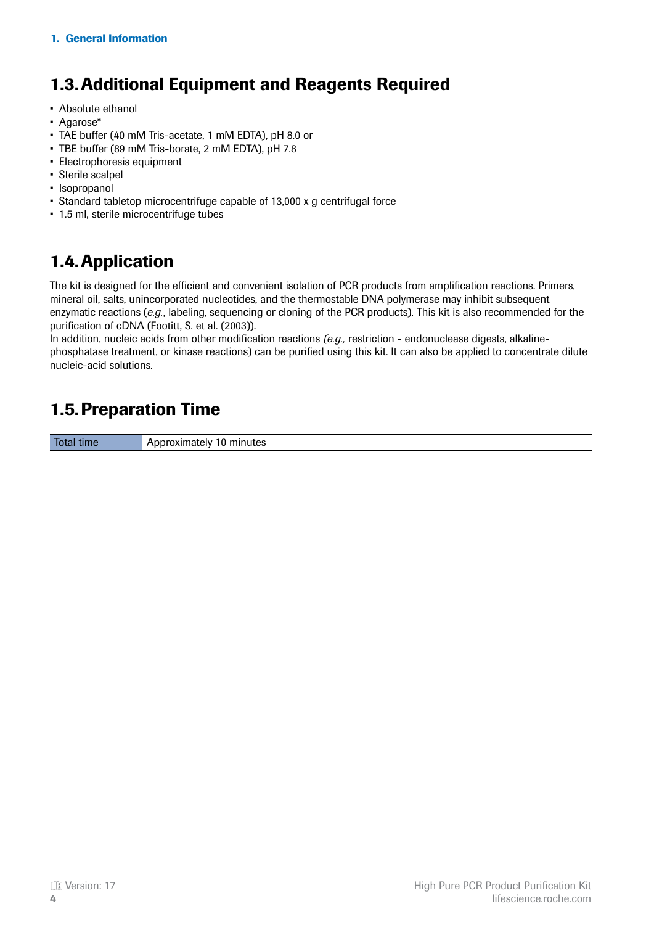# <span id="page-3-0"></span>1.3.Additional Equipment and Reagents Required

- Absolute ethanol
- Agarose\*
- TAE buffer (40 mM Tris-acetate, 1 mM EDTA), pH 8.0 or
- TBE buffer (89 mM Tris-borate, 2 mM EDTA), pH 7.8
- Electrophoresis equipment
- Sterile scalpel
- Isopropanol
- Standard tabletop microcentrifuge capable of 13,000 x g centrifugal force
- 1.5 ml, sterile microcentrifuge tubes

# 1.4.Application

The kit is designed for the efficient and convenient isolation of PCR products from amplification reactions. Primers, mineral oil, salts, unincorporated nucleotides, and the thermostable DNA polymerase may inhibit subsequent enzymatic reactions (*e.g.*, labeling, sequencing or cloning of the PCR products). This kit is also recommended for the purification of cDNA (Footitt, S. et al. (2003)).

In addition, nucleic acids from other modification reactions *(e.g.,* restriction - endonuclease digests, alkalinephosphatase treatment, or kinase reactions) can be purified using this kit. It can also be applied to concentrate dilute nucleic-acid solutions.

# 1.5.Preparation Time

Total time **Approximately 10 minutes**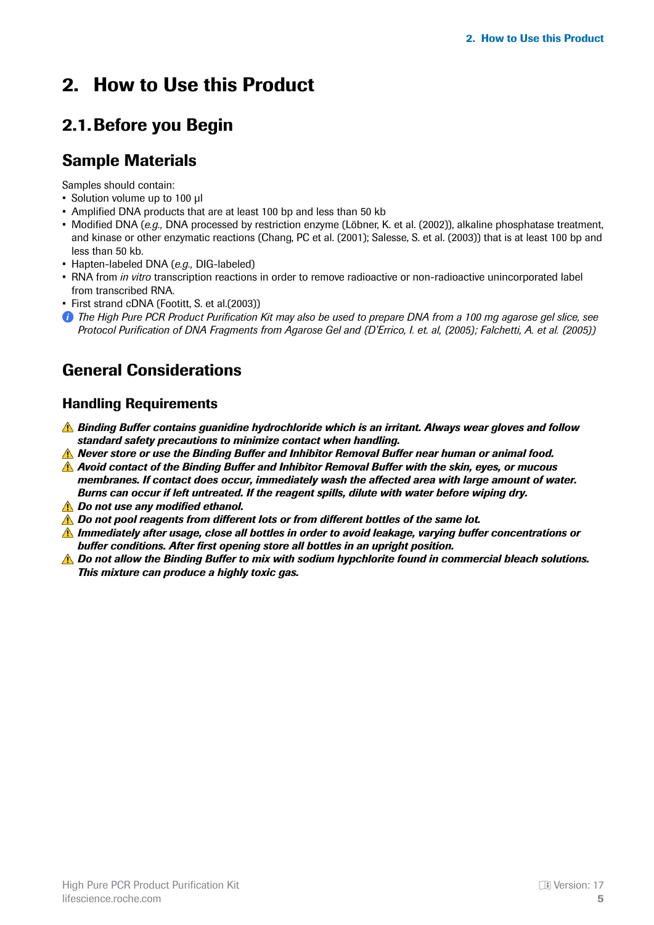# <span id="page-4-0"></span>2. How to Use this Product

# 2.1.Before you Begin

### Sample Materials

Samples should contain:

- Solution volume up to 100 μl
- Amplified DNA products that are at least 100 bp and less than 50 kb
- Modified DNA (*e.g.,* DNA processed by restriction enzyme (Löbner, K. et al. (2002)), alkaline phosphatase treatment, and kinase or other enzymatic reactions (Chang, PC et al. (2001); Salesse, S. et al. (2003)) that is at least 100 bp and less than 50 kb.
- Hapten-labeled DNA (*e.g.,* DIG-labeled)
- RNA from *in vitro* transcription reactions in order to remove radioactive or non-radioactive unincorporated label from transcribed RNA.
- First strand cDNA (Footitt, S. et al.(2003))
- *The High Pure PCR Product Purification Kit may also be used to prepare DNA from a 100 mg agarose gel slice, see Protocol Purification of DNA Fragments from Agarose Gel and (D'Errico, I. et. al, (2005); Falchetti, A. et al. (2005))*

### General Considerations

#### Handling Requirements

- *Binding Buffer contains guanidine hydrochloride which is an irritant. Always wear gloves and follow standard safety precautions to minimize contact when handling.*
- *Never store or use the Binding Buffer and Inhibitor Removal Buffer near human or animal food.*
- *Avoid contact of the Binding Buffer and Inhibitor Removal Buffer with the skin, eyes, or mucous membranes. If contact does occur, immediately wash the affected area with large amount of water. Burns can occur if left untreated. If the reagent spills, dilute with water before wiping dry.*
- *Do not use any modified ethanol.*
- *A* Do not pool reagents from different lots or from different bottles of the same lot.
- *Immediately after usage, close all bottles in order to avoid leakage, varying buffer concentrations or buffer conditions. After first opening store all bottles in an upright position.*
- **A** Do not allow the Binding Buffer to mix with sodium hypchlorite found in commercial bleach solutions. *This mixture can produce a highly toxic gas.*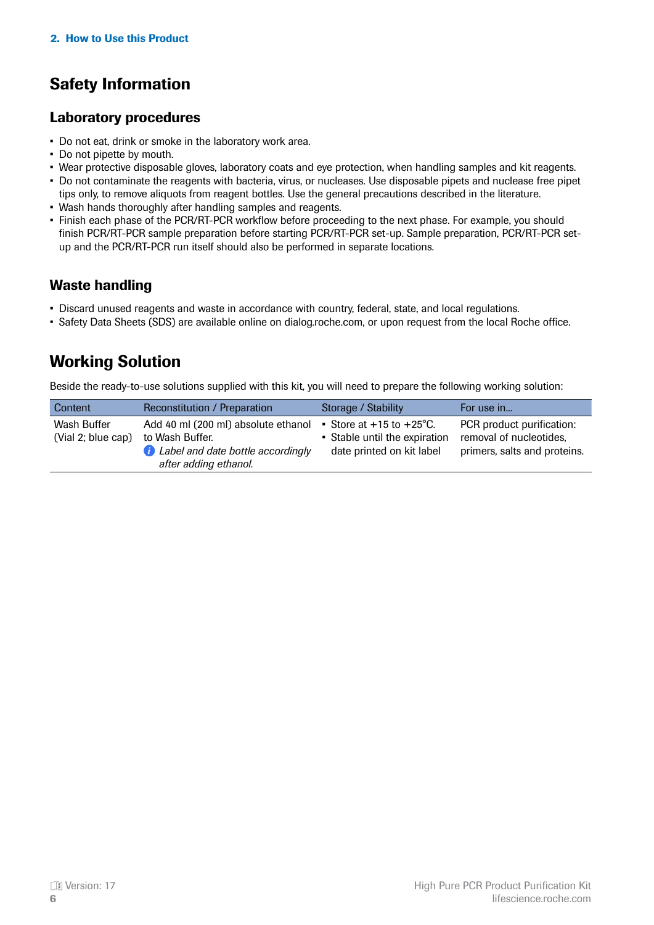# <span id="page-5-0"></span>Safety Information

#### Laboratory procedures

- Do not eat, drink or smoke in the laboratory work area.
- Do not pipette by mouth.
- Wear protective disposable gloves, laboratory coats and eye protection, when handling samples and kit reagents.
- Do not contaminate the reagents with bacteria, virus, or nucleases. Use disposable pipets and nuclease free pipet tips only, to remove aliquots from reagent bottles. Use the general precautions described in the literature.
- Wash hands thoroughly after handling samples and reagents.
- Finish each phase of the PCR/RT-PCR workflow before proceeding to the next phase. For example, you should finish PCR/RT-PCR sample preparation before starting PCR/RT-PCR set-up. Sample preparation, PCR/RT-PCR setup and the PCR/RT-PCR run itself should also be performed in separate locations.

#### Waste handling

- Discard unused reagents and waste in accordance with country, federal, state, and local regulations.
- Safety Data Sheets (SDS) are available online on dialog.roche.com, or upon request from the local Roche office.

### Working Solution

Beside the ready-to-use solutions supplied with this kit, you will need to prepare the following working solution:

| Content                           | Reconstitution / Preparation                                                                                                  | Storage / Stability                                                                              | For use in                                                                           |
|-----------------------------------|-------------------------------------------------------------------------------------------------------------------------------|--------------------------------------------------------------------------------------------------|--------------------------------------------------------------------------------------|
| Wash Buffer<br>(Vial 2; blue cap) | Add 40 ml (200 ml) absolute ethanol<br>to Wash Buffer.<br><b>C</b> Label and date bottle accordingly<br>after adding ethanol. | Store at $+15$ to $+25^{\circ}$ C.<br>• Stable until the expiration<br>date printed on kit label | PCR product purification:<br>removal of nucleotides,<br>primers, salts and proteins. |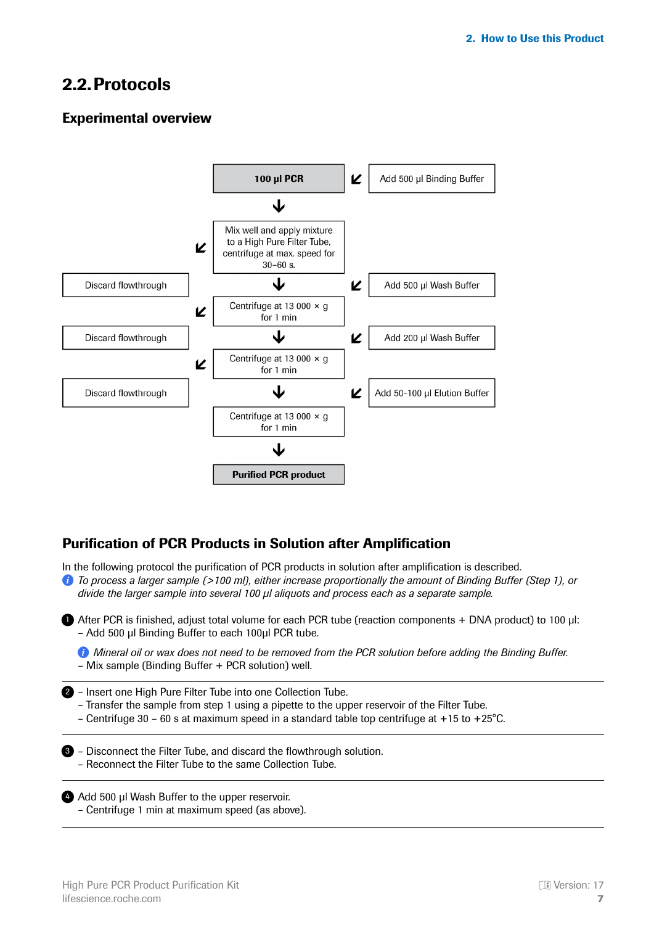### <span id="page-6-0"></span>2.2.Protocols

#### Experimental overview



#### Purification of PCR Products in Solution after Amplification

In the following protocol the purification of PCR products in solution after amplification is described.

*To process a larger sample (>100 ml), either increase proportionally the amount of Binding Buffer (Step 1), or divide the larger sample into several 100 μl aliquots and process each as a separate sample.*

**After PCR is finished, adjust total volume for each PCR tube (reaction components + DNA product) to 100 µl:** – Add 500 μl Binding Buffer to each 100μl PCR tube.

*Mineral oil or wax does not need to be removed from the PCR solution before adding the Binding Buffer.* – Mix sample (Binding Buffer + PCR solution) well.

2 - Insert one High Pure Filter Tube into one Collection Tube.

- Transfer the sample from step 1 using a pipette to the upper reservoir of the Filter Tube.
- Centrifuge 30 60 s at maximum speed in a standard table top centrifuge at +15 to +25°C.

**3** - Disconnect the Filter Tube, and discard the flowthrough solution. – Reconnect the Filter Tube to the same Collection Tube.

4 Add 500 μl Wash Buffer to the upper reservoir. – Centrifuge 1 min at maximum speed (as above).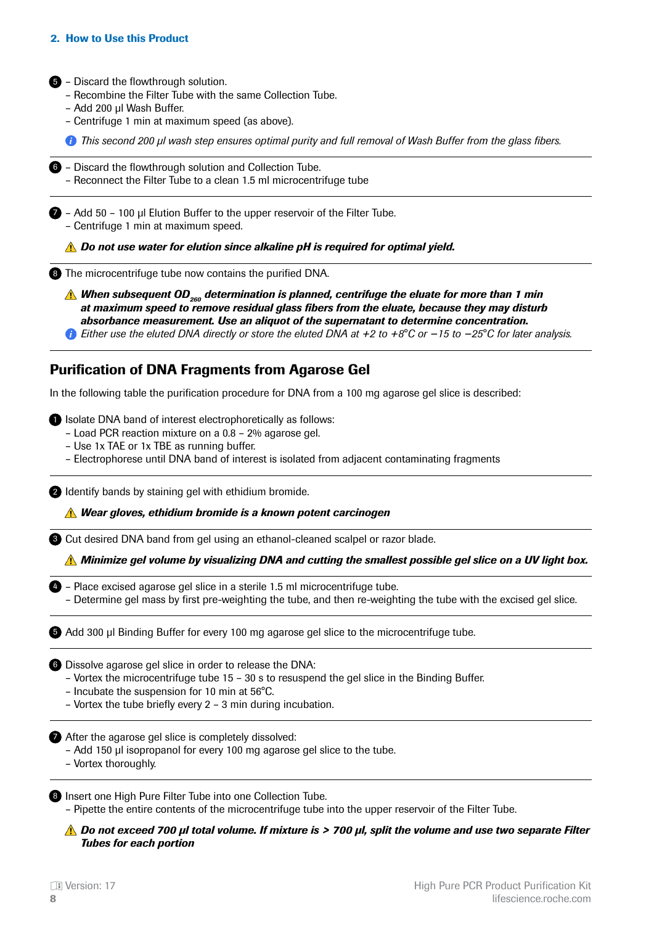#### <span id="page-7-0"></span>2. How to Use this Product

5 - Discard the flowthrough solution.

- Recombine the Filter Tube with the same Collection Tube.
- Add 200 μl Wash Buffer.
- Centrifuge 1 min at maximum speed (as above).

*This second 200 μl wash step ensures optimal purity and full removal of Wash Buffer from the glass fibers.*

**6** - Discard the flowthrough solution and Collection Tube. – Reconnect the Filter Tube to a clean 1.5 ml microcentrifuge tube

– Add 50 – 100 μl Elution Buffer to the upper reservoir of the Filter Tube. 7 – Centrifuge 1 min at maximum speed.

*Do not use water for elution since alkaline pH is required for optimal yield.*

**8** The microcentrifuge tube now contains the purified DNA.

**A** When subsequent OD<sub>260</sub> determination is planned, centrifuge the eluate for more than 1 min *at maximum speed to remove residual glass fibers from the eluate, because they may disturb absorbance measurement. Use an aliquot of the supernatant to determine concentration.*

*Either use the eluted DNA directly or store the eluted DNA at +2 to +8°C or −15 to −25°C for later analysis.*

#### Purification of DNA Fragments from Agarose Gel

In the following table the purification procedure for DNA from a 100 mg agarose gel slice is described:

**D** Isolate DNA band of interest electrophoretically as follows:

- Load PCR reaction mixture on a 0.8 2% agarose gel.
- Use 1x TAE or 1x TBE as running buffer.
- Electrophorese until DNA band of interest is isolated from adjacent contaminating fragments

2 Identify bands by staining gel with ethidium bromide.

*Wear gloves, ethidium bromide is a known potent carcinogen*

**8** Cut desired DNA band from gel using an ethanol-cleaned scalpel or razor blade.

*Minimize gel volume by visualizing DNA and cutting the smallest possible gel slice on a UV light box.*

- 4) Place excised agarose gel slice in a sterile 1.5 ml microcentrifuge tube.
	- Determine gel mass by first pre-weighting the tube, and then re-weighting the tube with the excised gel slice.

Add 300 μl Binding Buffer for every 100 mg agarose gel slice to the microcentrifuge tube. 5

**6** Dissolve agarose gel slice in order to release the DNA:

- Vortex the microcentrifuge tube 15 30 s to resuspend the gel slice in the Binding Buffer.
- Incubate the suspension for 10 min at 56°C.
- Vortex the tube briefly every 2 3 min during incubation.

**After the agarose gel slice is completely dissolved:** 

- Add 150 μl isopropanol for every 100 mg agarose gel slice to the tube.
- Vortex thoroughly.

8 Insert one High Pure Filter Tube into one Collection Tube.

– Pipette the entire contents of the microcentrifuge tube into the upper reservoir of the Filter Tube.

*Do not exceed 700 μl total volume. If mixture is > 700 μl, split the volume and use two separate Filter Tubes for each portion*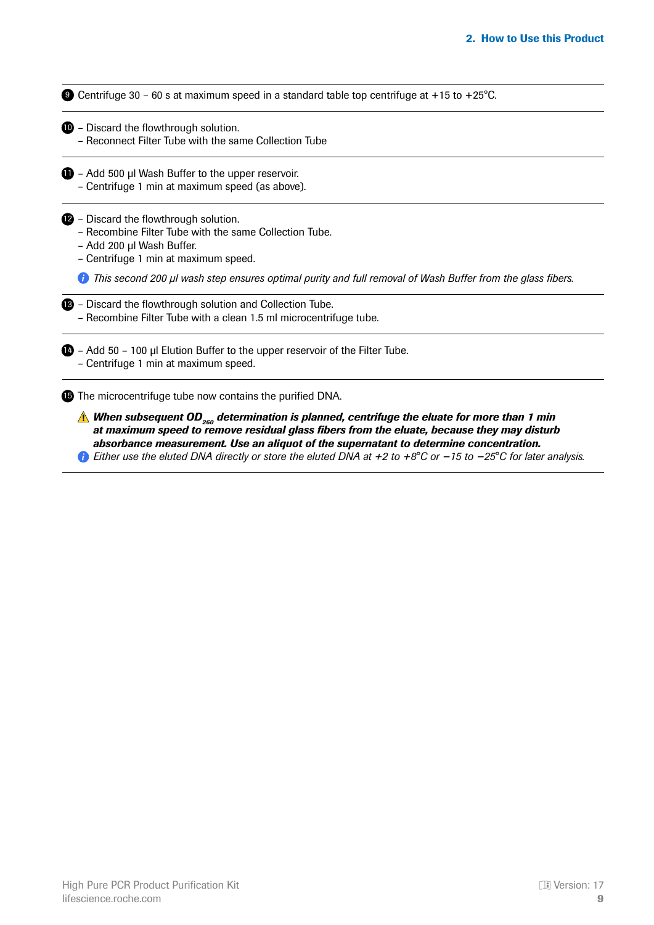**9** Centrifuge 30 - 60 s at maximum speed in a standard table top centrifuge at +15 to +25°C.

- **D** Discard the flowthrough solution.
	- Reconnect Filter Tube with the same Collection Tube
- $\blacksquare$  Add 500 µl Wash Buffer to the upper reservoir. – Centrifuge 1 min at maximum speed (as above).

**2** - Discard the flowthrough solution.

- Recombine Filter Tube with the same Collection Tube.
- Add 200 μl Wash Buffer.
- Centrifuge 1 min at maximum speed.

*This second 200 μl wash step ensures optimal purity and full removal of Wash Buffer from the glass fibers.*

| <b>B</b> - Discard the flowthrough solution and Collection Tube.  |
|-------------------------------------------------------------------|
| - Recombine Filter Tube with a clean 1.5 ml microcentrifuge tube. |

**14** - Add 50 - 100 μl Elution Buffer to the upper reservoir of the Filter Tube. – Centrifuge 1 min at maximum speed.

**15** The microcentrifuge tube now contains the purified DNA.

**A** When subsequent OD<sub>260</sub> determination is planned, centrifuge the eluate for more than 1 min *at maximum speed to remove residual glass fibers from the eluate, because they may disturb absorbance measurement. Use an aliquot of the supernatant to determine concentration.*

*Either use the eluted DNA directly or store the eluted DNA at +2 to +8°C or −15 to −25°C for later analysis.*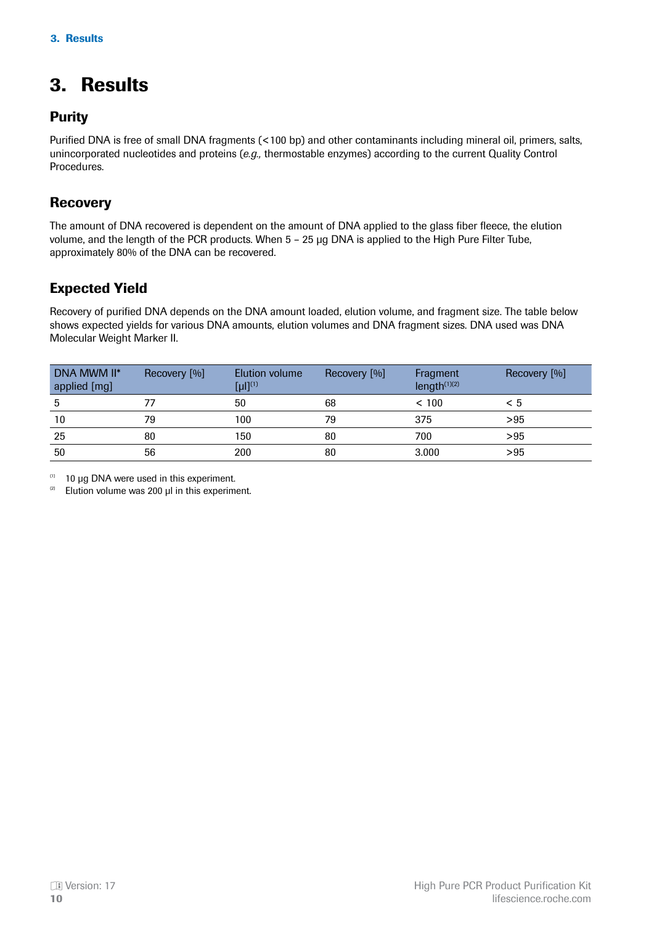# <span id="page-9-0"></span>3. Results

#### **Purity**

Purified DNA is free of small DNA fragments (<100 bp) and other contaminants including mineral oil, primers, salts, unincorporated nucleotides and proteins (*e.g.,* thermostable enzymes) according to the current Quality Control Procedures.

#### **Recovery**

The amount of DNA recovered is dependent on the amount of DNA applied to the glass fiber fleece, the elution volume, and the length of the PCR products. When 5 – 25 μg DNA is applied to the High Pure Filter Tube, approximately 80% of the DNA can be recovered.

#### Expected Yield

Recovery of purified DNA depends on the DNA amount loaded, elution volume, and fragment size. The table below shows expected yields for various DNA amounts, elution volumes and DNA fragment sizes. DNA used was DNA Molecular Weight Marker II.

| DNA MWM II*<br>applied [mg] | Recovery [%] | Elution volume<br>$[u]]^{(1)}$ | Recovery [%] | Fragment<br>length $(1)(2)$ | Recovery [%] |
|-----------------------------|--------------|--------------------------------|--------------|-----------------------------|--------------|
|                             |              | 50                             | 68           | < 100                       | < 5          |
| 10                          | 79           | 100                            | 79           | 375                         | > 95         |
| 25                          | 80           | 150                            | 80           | 700                         | > 95         |
| 50                          | 56           | 200                            | 80           | 3.000                       | > 95         |

10 μg DNA were used in this experiment.   (1)

Elution volume was 200 μl in this experiment.   (2)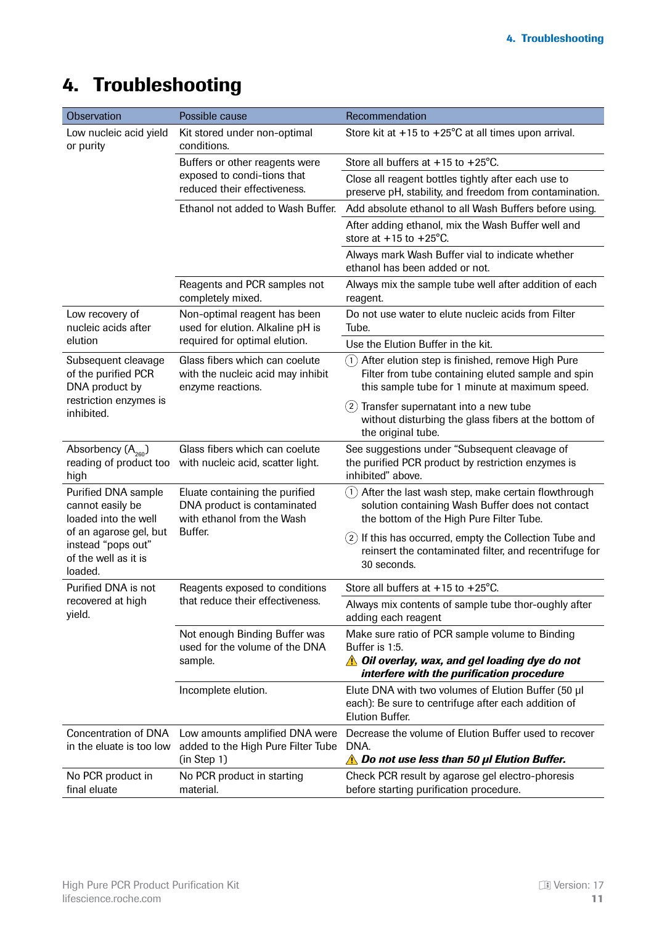# <span id="page-10-0"></span>4. Troubleshooting

| Observation                                                                     | Possible cause                                                                              | Recommendation                                                                                                                                                          |  |
|---------------------------------------------------------------------------------|---------------------------------------------------------------------------------------------|-------------------------------------------------------------------------------------------------------------------------------------------------------------------------|--|
| Low nucleic acid yield<br>or purity                                             | Kit stored under non-optimal<br>conditions.                                                 | Store kit at $+15$ to $+25^{\circ}$ C at all times upon arrival.                                                                                                        |  |
|                                                                                 | Buffers or other reagents were                                                              | Store all buffers at $+15$ to $+25^{\circ}$ C.                                                                                                                          |  |
|                                                                                 | exposed to condi-tions that<br>reduced their effectiveness.                                 | Close all reagent bottles tightly after each use to<br>preserve pH, stability, and freedom from contamination.                                                          |  |
|                                                                                 | Ethanol not added to Wash Buffer.                                                           | Add absolute ethanol to all Wash Buffers before using.                                                                                                                  |  |
|                                                                                 |                                                                                             | After adding ethanol, mix the Wash Buffer well and<br>store at $+15$ to $+25^{\circ}$ C.                                                                                |  |
|                                                                                 |                                                                                             | Always mark Wash Buffer vial to indicate whether<br>ethanol has been added or not.                                                                                      |  |
|                                                                                 | Reagents and PCR samples not<br>completely mixed.                                           | Always mix the sample tube well after addition of each<br>reagent.                                                                                                      |  |
| Low recovery of<br>nucleic acids after                                          | Non-optimal reagent has been<br>used for elution. Alkaline pH is                            | Do not use water to elute nucleic acids from Filter<br>Tube.                                                                                                            |  |
| elution                                                                         | required for optimal elution.                                                               | Use the Elution Buffer in the kit.                                                                                                                                      |  |
| Subsequent cleavage<br>of the purified PCR<br>DNA product by                    | Glass fibers which can coelute<br>with the nucleic acid may inhibit<br>enzyme reactions.    | After elution step is finished, remove High Pure<br>(1)<br>Filter from tube containing eluted sample and spin<br>this sample tube for 1 minute at maximum speed.        |  |
| restriction enzymes is<br>inhibited.                                            |                                                                                             | Transfer supernatant into a new tube<br>(2)<br>without disturbing the glass fibers at the bottom of<br>the original tube.                                               |  |
| Absorbency $(A_{260})$<br>reading of product too<br>high                        | Glass fibers which can coelute<br>with nucleic acid, scatter light.                         | See suggestions under "Subsequent cleavage of<br>the purified PCR product by restriction enzymes is<br>inhibited" above.                                                |  |
| Purified DNA sample<br>cannot easily be<br>loaded into the well                 | Eluate containing the purified<br>DNA product is contaminated<br>with ethanol from the Wash | After the last wash step, make certain flowthrough<br>(1)<br>solution containing Wash Buffer does not contact<br>the bottom of the High Pure Filter Tube.               |  |
| of an agarose gel, but<br>instead "pops out"<br>of the well as it is<br>loaded. | Buffer.                                                                                     | $(2)$ If this has occurred, empty the Collection Tube and<br>reinsert the contaminated filter, and recentrifuge for<br>30 seconds.                                      |  |
| Purified DNA is not                                                             | Reagents exposed to conditions                                                              | Store all buffers at +15 to +25°C.                                                                                                                                      |  |
| recovered at high<br>yield.                                                     | that reduce their effectiveness.                                                            | Always mix contents of sample tube thor-oughly after<br>adding each reagent                                                                                             |  |
|                                                                                 | Not enough Binding Buffer was<br>used for the volume of the DNA<br>sample.                  | Make sure ratio of PCR sample volume to Binding<br>Buffer is 1:5.<br><b>A</b> Oil overlay, wax, and gel loading dye do not<br>interfere with the purification procedure |  |
|                                                                                 | Incomplete elution.                                                                         | Elute DNA with two volumes of Elution Buffer (50 µl<br>each): Be sure to centrifuge after each addition of<br><b>Elution Buffer.</b>                                    |  |
| <b>Concentration of DNA</b><br>in the eluate is too low                         | Low amounts amplified DNA were<br>added to the High Pure Filter Tube<br>(in Step 1)         | Decrease the volume of Elution Buffer used to recover<br>DNA.<br><b>A</b> Do not use less than 50 µl Elution Buffer.                                                    |  |
| No PCR product in<br>final eluate                                               | No PCR product in starting<br>material.                                                     | Check PCR result by agarose gel electro-phoresis<br>before starting purification procedure.                                                                             |  |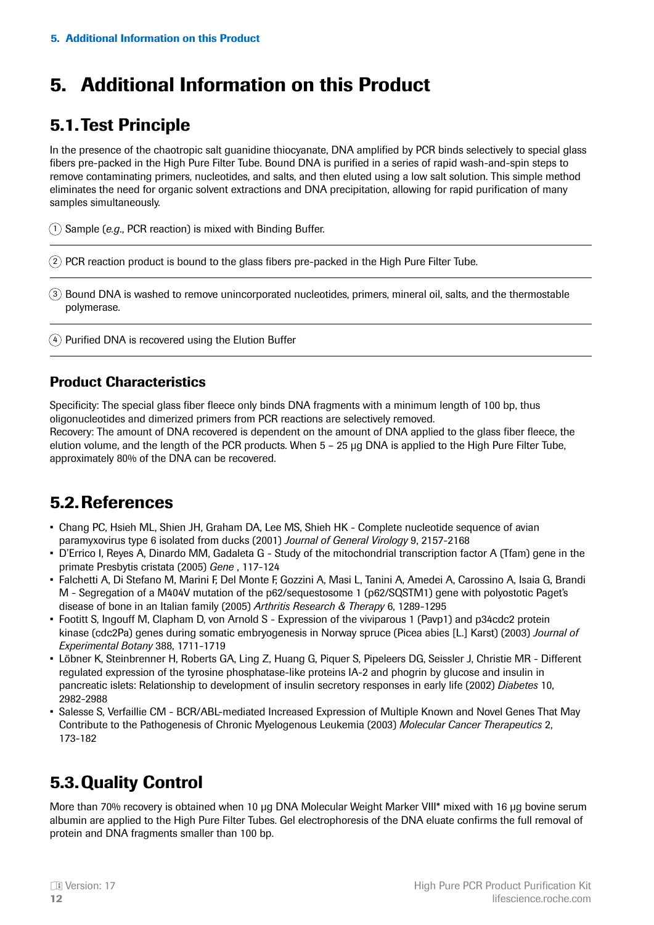# <span id="page-11-0"></span>5. Additional Information on this Product

### 5.1.Test Principle

In the presence of the chaotropic salt guanidine thiocyanate, DNA amplified by PCR binds selectively to special glass fibers pre-packed in the High Pure Filter Tube. Bound DNA is purified in a series of rapid wash-and-spin steps to remove contaminating primers, nucleotides, and salts, and then eluted using a low salt solution. This simple method eliminates the need for organic solvent extractions and DNA precipitation, allowing for rapid purification of many samples simultaneously.

1) Sample (e.g., PCR reaction) is mixed with Binding Buffer.

2) PCR reaction product is bound to the glass fibers pre-packed in the High Pure Filter Tube.

Bound DNA is washed to remove unincorporated nucleotides, primers, mineral oil, salts, and the thermostable 3 polymerase.

 $4)$  Purified DNA is recovered using the Elution Buffer

#### Product Characteristics

Specificity: The special glass fiber fleece only binds DNA fragments with a minimum length of 100 bp, thus oligonucleotides and dimerized primers from PCR reactions are selectively removed.

Recovery: The amount of DNA recovered is dependent on the amount of DNA applied to the glass fiber fleece, the elution volume, and the length of the PCR products. When 5 – 25 μg DNA is applied to the High Pure Filter Tube, approximately 80% of the DNA can be recovered.

### 5.2.References

- Chang PC, Hsieh ML, Shien JH, Graham DA, Lee MS, Shieh HK Complete nucleotide sequence of avian paramyxovirus type 6 isolated from ducks (2001) *Journal of General Virology* 9, 2157-2168
- D'Errico I, Reyes A, Dinardo MM, Gadaleta G Study of the mitochondrial transcription factor A (Tfam) gene in the primate Presbytis cristata (2005) *Gene* , 117-124
- Falchetti A, Di Stefano M, Marini F, Del Monte F, Gozzini A, Masi L, Tanini A, Amedei A, Carossino A, Isaia G, Brandi M - Segregation of a M404V mutation of the p62/sequestosome 1 (p62/SQSTM1) gene with polyostotic Paget's disease of bone in an Italian family (2005) *Arthritis Research & Therapy* 6, 1289-1295
- Footitt S, Ingouff M, Clapham D, von Arnold S Expression of the viviparous 1 (Pavp1) and p34cdc2 protein kinase (cdc2Pa) genes during somatic embryogenesis in Norway spruce (Picea abies [L.] Karst) (2003) *Journal of Experimental Botany* 388, 1711-1719
- Löbner K, Steinbrenner H, Roberts GA, Ling Z, Huang G, Piquer S, Pipeleers DG, Seissler J, Christie MR Different regulated expression of the tyrosine phosphatase-like proteins IA-2 and phogrin by glucose and insulin in pancreatic islets: Relationship to development of insulin secretory responses in early life (2002) *Diabetes* 10, 2982-2988
- Salesse S, Verfaillie CM BCR/ABL-mediated Increased Expression of Multiple Known and Novel Genes That May Contribute to the Pathogenesis of Chronic Myelogenous Leukemia (2003) *Molecular Cancer Therapeutics* 2, 173-182

### 5.3.Quality Control

More than 70% recovery is obtained when 10 μg DNA Molecular Weight Marker VIII\* mixed with 16 μg bovine serum albumin are applied to the High Pure Filter Tubes. Gel electrophoresis of the DNA eluate confirms the full removal of protein and DNA fragments smaller than 100 bp.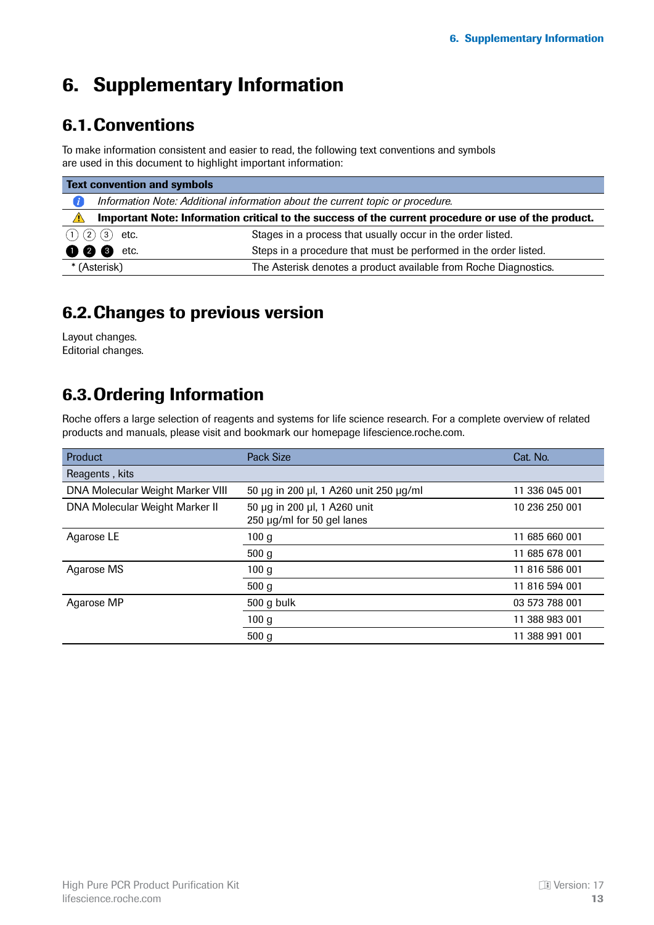# <span id="page-12-0"></span>6. Supplementary Information

### 6.1.Conventions

To make information consistent and easier to read, the following text conventions and symbols are used in this document to highlight important information:

| <b>Text convention and symbols</b> |                                                                                                     |                                                                  |  |  |  |
|------------------------------------|-----------------------------------------------------------------------------------------------------|------------------------------------------------------------------|--|--|--|
|                                    | Information Note: Additional information about the current topic or procedure.                      |                                                                  |  |  |  |
| $\sqrt{N}$                         | Important Note: Information critical to the success of the current procedure or use of the product. |                                                                  |  |  |  |
| (1) (2) (3)                        | etc.                                                                                                | Stages in a process that usually occur in the order listed.      |  |  |  |
| 000                                | etc.                                                                                                | Steps in a procedure that must be performed in the order listed. |  |  |  |
|                                    | * (Asterisk)                                                                                        | The Asterisk denotes a product available from Roche Diagnostics. |  |  |  |

### 6.2.Changes to previous version

Layout changes. Editorial changes.

### 6.3.Ordering Information

Roche offers a large selection of reagents and systems for life science research. For a complete overview of related products and manuals, please visit and bookmark our homepage lifescience.roche.com.

| <b>Product</b>                   | <b>Pack Size</b>                                           | Cat. No.       |
|----------------------------------|------------------------------------------------------------|----------------|
| Reagents, kits                   |                                                            |                |
| DNA Molecular Weight Marker VIII | 50 µg in 200 µl, 1 A260 unit 250 µg/ml                     | 11 336 045 001 |
| DNA Molecular Weight Marker II   | 50 μg in 200 μl, 1 A260 unit<br>250 µg/ml for 50 gel lanes | 10 236 250 001 |
| Agarose LE                       | 100 <sub>g</sub>                                           | 11 685 660 001 |
|                                  | 500 <sub>g</sub>                                           | 11 685 678 001 |
| Agarose MS                       | 100g                                                       | 11 816 586 001 |
|                                  | 500 <sub>g</sub>                                           | 11 816 594 001 |
| Agarose MP                       | 500 g bulk                                                 | 03 573 788 001 |
|                                  | 100 <sub>g</sub>                                           | 11 388 983 001 |
|                                  | 500 <sub>g</sub>                                           | 11 388 991 001 |